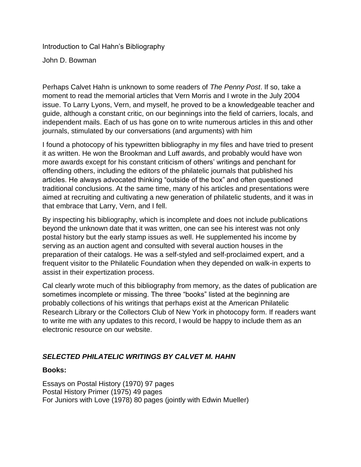Introduction to Cal Hahn's Bibliography

John D. Bowman

Perhaps Calvet Hahn is unknown to some readers of *The Penny Post*. If so, take a moment to read the memorial articles that Vern Morris and I wrote in the July 2004 issue. To Larry Lyons, Vern, and myself, he proved to be a knowledgeable teacher and guide, although a constant critic, on our beginnings into the field of carriers, locals, and independent mails. Each of us has gone on to write numerous articles in this and other journals, stimulated by our conversations (and arguments) with him

I found a photocopy of his typewritten bibliography in my files and have tried to present it as written. He won the Brookman and Luff awards, and probably would have won more awards except for his constant criticism of others' writings and penchant for offending others, including the editors of the philatelic journals that published his articles. He always advocated thinking "outside of the box" and often questioned traditional conclusions. At the same time, many of his articles and presentations were aimed at recruiting and cultivating a new generation of philatelic students, and it was in that embrace that Larry, Vern, and I fell.

By inspecting his bibliography, which is incomplete and does not include publications beyond the unknown date that it was written, one can see his interest was not only postal history but the early stamp issues as well. He supplemented his income by serving as an auction agent and consulted with several auction houses in the preparation of their catalogs. He was a self-styled and self-proclaimed expert, and a frequent visitor to the Philatelic Foundation when they depended on walk-in experts to assist in their expertization process.

Cal clearly wrote much of this bibliography from memory, as the dates of publication are sometimes incomplete or missing. The three "books" listed at the beginning are probably collections of his writings that perhaps exist at the American Philatelic Research Library or the Collectors Club of New York in photocopy form. If readers want to write me with any updates to this record, I would be happy to include them as an electronic resource on our website.

#### *SELECTED PHILATELIC WRITINGS BY CALVET M. HAHN*

#### **Books:**

Essays on Postal History (1970) 97 pages Postal History Primer (1975) 49 pages For Juniors with Love (1978) 80 pages (jointly with Edwin Mueller)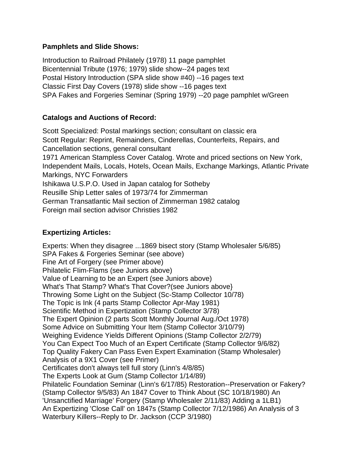#### **Pamphlets and Slide Shows:**

Introduction to Railroad Philately (1978) 11 page pamphlet Bicentennial Tribute (1976; 1979) slide show--24 pages text Postal History Introduction (SPA slide show #40) --16 pages text Classic First Day Covers (1978) slide show --16 pages text SPA Fakes and Forgeries Seminar (Spring 1979) --20 page pamphlet w/Green

### **Catalogs and Auctions of Record:**

Scott Specialized: Postal markings section; consultant on classic era Scott Regular: Reprint, Remainders, Cinderellas, Counterfeits, Repairs, and Cancellation sections, general consultant 1971 American Stampless Cover Catalog. Wrote and priced sections on New York, Independent Mails, Locals, Hotels, Ocean Mails, Exchange Markings, Atlantic Private Markings, NYC Forwarders Ishikawa U.S.P.O. Used in Japan catalog for Sotheby Reusille Ship Letter sales of 1973/74 for Zimmerman German Transatlantic Mail section of Zimmerman 1982 catalog Foreign mail section advisor Christies 1982

### **Expertizing Articles:**

Experts: When they disagree ...1869 bisect story (Stamp Wholesaler 5/6/85) SPA Fakes & Forgeries Seminar (see above) Fine Art of Forgery (see Primer above) Philatelic FIim-Flams (see Juniors above) Value of Learning to be an Expert (see Juniors above) What's That Stamp? What's That Cover?(see Juniors above} Throwing Some Light on the Subject (Sc-Stamp Collector 10/78) The Topic is Ink (4 parts Stamp Collector Apr-May 1981) Scientific Method in Expertization (Stamp Collector 3/78) The Expert Opinion (2 parts Scott Monthly Journal Aug./Oct 1978) Some Advice on Submitting Your Item (Stamp Collector 3/10/79) Weighing Evidence Yields Different Opinions (Stamp Collector 2/2/79) You Can Expect Too Much of an Expert Certificate (Stamp Collector 9/6/82) Top Quality Fakery Can Pass Even Expert Examination (Stamp Wholesaler) Analysis of a 9X1 Cover (see Primer) Certificates don't always tell full story (Linn's 4/8/85) The Experts Look at Gum (Stamp Collector 1/14/89) Philatelic Foundation Seminar (Linn's 6/17/85) Restoration--Preservation or Fakery? (Stamp Collector 9/5/83) An 1847 Cover to Think About (SC 10/18/1980) An 'Unsanctified Marriage' Forgery (Stamp Wholesaler 2/11/83) Adding a 1LB1) An Expertizing 'Close Call' on 1847s (Stamp Collector 7/12/1986) An Analysis of 3 Waterbury Killers--Reply to Dr. Jackson (CCP 3/1980)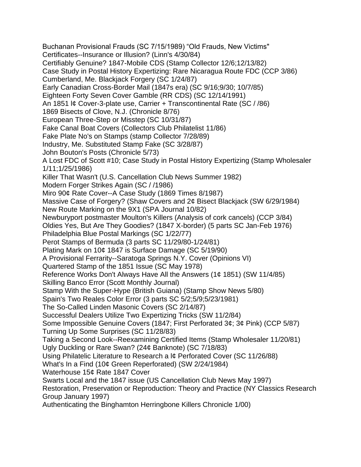Buchanan Provisional Frauds (SC 7/15/1989) "Old Frauds, New Victims" Certificates--Insurance or Illusion? (Linn's 4/30/84) Certifiably Genuine? 1847-Mobile CDS (Stamp Collector 12/6;12/13/82) Case Study in Postal History Expertizing: Rare Nicaragua Route FDC (CCP 3/86) Cumberland, Me. Blackjack Forgery (SC 1/24/87) Early Canadian Cross-Border Mail (1847s era) (SC 9/16;9/30; 10/7/85) Eighteen Forty Seven Cover Gamble (RR CDS) (SC 12/14/1991) An 1851 l¢ Cover-3-plate use, Carrier + Transcontinental Rate (SC / /86) 1869 Bisects of Clove, N.J. (Chronicle 8/76) European Three-Step or Misstep (SC 10/31/87) Fake Canal Boat Covers (Collectors Club Philatelist 11/86) Fake Plate No's on Stamps (stamp Collector 7/28/89) Industry, Me. Substituted Stamp Fake (SC 3/28/87) John Bouton's Posts (Chronicle 5/73) A Lost FDC of Scott #10; Case Study in Postal History Expertizing (Stamp Wholesaler 1/11;1/25/1986) Killer That Wasn't (U.S. Cancellation Club News Summer 1982) Modern Forger Strikes Again (SC / /1986) Miro 90¢ Rate Cover--A Case Study (1869 Times 8/1987) Massive Case of Forgery? (Shaw Covers and 2¢ Bisect Blackjack (SW 6/29/1984) New Route Marking on the 9X1 (SPA Journal 10/82) Newburyport postmaster Moulton's Killers (Analysis of cork cancels) (CCP 3/84) Oldies Yes, But Are They Goodies? (1847 X-border) (5 parts SC Jan-Feb 1976) Philadelphia Blue Postal Markings (SC 1/22/77) Perot Stamps of Bermuda (3 parts SC 11/29/80-1/24/81) Plating Mark on 10¢ 1847 is Surface Damage (SC 5/19/90) A Provisional Ferrarity--Saratoga Springs N.Y. Cover (Opinions VI) Quartered Stamp of the 1851 Issue (SC May 1978) Reference Works Don't Always Have All the Answers (1¢ 1851) (SW 11/4/85) Skilling Banco Error (Scott Monthly Journal) Stamp With the Super-Hype (British Guiana) (Stamp Show News 5/80) Spain's Two Reales Color Error (3 parts SC 5/2;5/9;5/23/1981) The So-Called Linden Masonic Covers (SC 2/14/87) Successful Dealers Utilize Two Expertizing Tricks (SW 11/2/84) Some Impossible Genuine Covers (1847; First Perforated 3¢; 3¢ Pink) (CCP 5/87) Turning Up Some Surprises (SC 11/28/83) Taking a Second Look--Reexamining Certified Items (Stamp Wholesaler 11/20/81) Ugly Duckling or Rare Swan? (24¢ Banknote) (SC 7/18/83) Using Philatelic Literature to Research a l¢ Perforated Cover (SC 11/26/88) What's In a Find (10¢ Green Reperforated) (SW 2/24/1984) Waterhouse 15¢ Rate 1847 Cover Swarts Local and the 1847 issue (US Cancellation Club News May 1997) Restoration, Preservation or Reproduction: Theory and Practice (NY Classics Research Group January 1997) Authenticating the Binghamton Herringbone Killers Chronicle 1/00)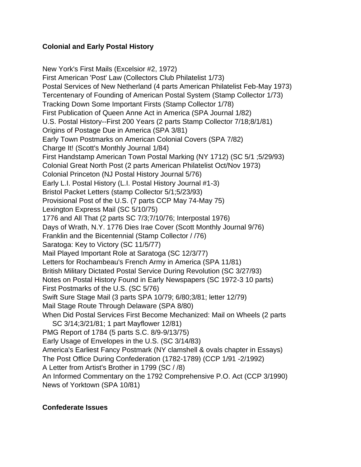### **Colonial and Early Postal History**

New York's First Mails (Excelsior #2, 1972) First American 'Post' Law (Collectors Club Philatelist 1/73) Postal Services of New Netherland (4 parts American Philatelist Feb-May 1973) Tercentenary of Founding of American Postal System (Stamp Collector 1/73) Tracking Down Some Important Firsts (Stamp Collector 1/78) First Publication of Queen Anne Act in America (SPA Journal 1/82) U.S. Postal History--First 200 Years (2 parts Stamp Collector 7/18;8/1/81) Origins of Postage Due in America (SPA 3/81) Early Town Postmarks on American Colonial Covers (SPA 7/82) Charge It! (Scott's Monthly Journal 1/84) First Handstamp American Town Postal Marking (NY 1712) (SC 5/1 ;5/29/93) Colonial Great North Post (2 parts American Philatelist Oct/Nov 1973) Colonial Princeton (NJ Postal History Journal 5/76) Early L.I. Postal History (L.I. Postal History Journal #1-3) Bristol Packet Letters (stamp Collector 5/1;5/23/93) Provisional Post of the U.S. (7 parts CCP May 74-May 75) Lexington Express Mail (SC 5/10/75) 1776 and All That (2 parts SC 7/3;7/10/76; Interpostal 1976) Days of Wrath, N.Y. 1776 Dies Irae Cover (Scott Monthly Journal 9/76) Franklin and the Bicentennial (Stamp Collector / /76) Saratoga: Key to Victory (SC 11/5/77) Mail Played Important Role at Saratoga (SC 12/3/77) Letters for Rochambeau's French Army in America (SPA 11/81) British Military Dictated Postal Service During Revolution (SC 3/27/93) Notes on Postal History Found in Early Newspapers (SC 1972-3 10 parts) First Postmarks of the U.S. (SC 5/76) Swift Sure Stage Mail (3 parts SPA 10/79; 6/80;3/81; letter 12/79) Mail Stage Route Through Delaware (SPA 8/80) When Did Postal Services First Become Mechanized: Mail on Wheels (2 parts SC 3/14;3/21/81; 1 part Mayflower 12/81) PMG Report of 1784 (5 parts S.C. 8/9-9/13/75) Early Usage of Envelopes in the U.S. (SC 3/14/83) America's Earliest Fancy Postmark (NY clamshell & ovals chapter in Essays) The Post Office During Confederation (1782-1789) (CCP 1/91 -2/1992) A Letter from Artist's Brother in 1799 (SC / /8) An Informed Commentary on the 1792 Comprehensive P.O. Act (CCP 3/1990) News of Yorktown (SPA 10/81)

#### **Confederate Issues**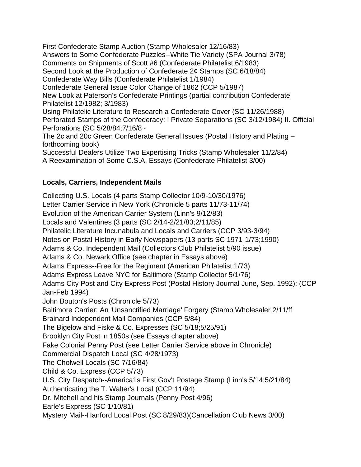First Confederate Stamp Auction (Stamp Wholesaler 12/16/83) Answers to Some Confederate Puzzles--White Tie Variety (SPA Journal 3/78) Comments on Shipments of Scott #6 (Confederate Philatelist 6/1983) Second Look at the Production of Confederate 2¢ Stamps (SC 6/18/84) Confederate Way Bills (Confederate Philatelist 1/1984) Confederate General Issue Color Change of 1862 (CCP 5/1987) New Look at Paterson's Confederate Printings (partial contribution Confederate Philatelist 12/1982; 3/1983) Using Philatelic Literature to Research a Confederate Cover (SC 11/26/1988) Perforated Stamps of the Confederacy: I Private Separations (SC 3/12/1984) II. Official Perforations (SC 5/28/84;7/16/8~ The 2c and 20c Green Confederate General Issues (Postal History and Plating – forthcoming book)

Successful Dealers Utilize Two Expertising Tricks (Stamp Wholesaler 11/2/84) A Reexamination of Some C.S.A. Essays (Confederate Philatelist 3/00)

### **Locals, Carriers, Independent Mails**

Collecting U.S. Locals (4 parts Stamp Collector 10/9-10/30/1976) Letter Carrier Service in New York (Chronicle 5 parts 11/73-11/74) Evolution of the American Carrier System (Linn's 9/12/83) Locals and Valentines (3 parts (SC 2/14-2/21/83;2/11/85) Philatelic Literature Incunabula and Locals and Carriers (CCP 3/93-3/94) Notes on Postal History in Early Newspapers (13 parts SC 1971-1/73;1990) Adams & Co. Independent Mail (Collectors Club Philatelist 5/90 issue) Adams & Co. Newark Office (see chapter in Essays above) Adams Express--Free for the Regiment (American Philatelist 1/73) Adams Express Leave NYC for Baltimore (Stamp Collector 5/1/76) Adams City Post and City Express Post (Postal History Journal June, Sep. 1992); (CCP Jan-Feb 1994) John Bouton's Posts (Chronicle 5/73) Baltimore Carrier: An 'Unsanctified Marriage' Forgery (Stamp Wholesaler 2/11/ff Brainard Independent Mail Companies (CCP 5/84) The Bigelow and Fiske & Co. Expresses (SC 5/18;5/25/91) Brooklyn City Post in 1850s (see Essays chapter above) Fake Colonial Penny Post (see Letter Carrier Service above in Chronicle) Commercial Dispatch Local (SC 4/28/1973) The Cholwell Locals (SC 7/16/84) Child & Co. Express (CCP 5/73) U.S. City Despatch--America1s First Gov't Postage Stamp (Linn's 5/14;5/21/84) Authenticating the T. Walter's Local (CCP 11/94) Dr. MitchelI and his Stamp Journals (Penny Post 4/96) Earle's Express (SC 1/10/81) Mystery Mail--Hanford Local Post (SC 8/29/83)(Cancellation Club News 3/00)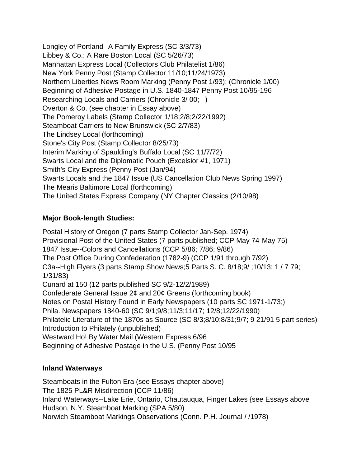Longley of Portland--A Family Express (SC 3/3/73) Libbey & Co.: A Rare Boston Local (SC 5/26/73) Manhattan Express Local (Collectors Club Philatelist 1/86) New York Penny Post (Stamp Collector 11/10;11/24/1973) Northern Liberties News Room Marking (Penny Post 1/93); (Chronicle 1/00) Beginning of Adhesive Postage in U.S. 1840-1847 Penny Post 10/95-196 Researching Locals and Carriers (Chronicle 3/ 00; ) Overton & Co. (see chapter in Essay above) The Pomeroy Labels (Stamp Collector 1/18;2/8;2/22/1992) Steamboat Carriers to New Brunswick (SC 2/7/83) The Lindsey Local (forthcoming) Stone's City Post (Stamp Collector 8/25/73) Interim Marking of Spaulding's Buffalo Local (SC 11/7/72) Swarts Local and the Diplomatic Pouch (Excelsior #1, 1971) Smith's City Express (Penny Post (Jan/94) Swarts Locals and the 1847 Issue (US Cancellation Club News Spring 1997) The Mearis Baltimore Local (forthcoming) The United States Express Company (NY Chapter Classics (2/10/98)

## **Major Book-length Studies:**

Postal History of Oregon (7 parts Stamp Collector Jan-Sep. 1974) Provisional Post of the United States (7 parts published; CCP May 74-May 75) 1847 Issue--Colors and Cancellations (CCP 5/86; 7/86; 9/86) The Post Office During Confederation (1782-9) (CCP 1/91 through 7/92) C3a--High Flyers (3 parts Stamp Show News;5 Parts S. C. 8/18;9/ ;10/13; 1 / 7 79; 1/31/83) Cunard at 150 (12 parts published SC 9/2-12/2/1989) Confederate General Issue 2¢ and 20¢ Greens (forthcoming book) Notes on Postal History Found in Early Newspapers (10 parts SC 1971-1/73;) Phila. Newspapers 1840-60 (SC 9/1;9/8;11/3;11/17; 12/8;12/22/1990) Philatelic Literature of the 1870s as Source (SC 8/3;8/10;8/31;9/7; 9 21/91 5 part series) Introduction to Philately (unpublished) Westward Ho! By Water Mail (Western Express 6/96 Beginning of Adhesive Postage in the U.S. (Penny Post 10/95

## **Inland Waterways**

Steamboats in the Fulton Era (see Essays chapter above) The 1825 PL&R Misdirection {CCP 11/86) Inland Waterways--Lake Erie, Ontario, Chautauqua, Finger Lakes {see Essays above Hudson, N.Y. Steamboat Marking (SPA 5/80) Norwich Steamboat Markings Observations (Conn. P.H. Journal / /1978)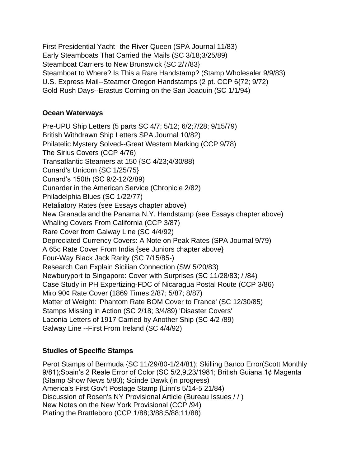First Presidential Yacht--the River Queen (SPA Journal 11/83) Early Steamboats That Carried the Mails (SC 3/18;3/25/89) Steamboat Carriers to New Brunswick {SC 2/7/83} Steamboat to Where? Is This a Rare Handstamp? (Stamp Wholesaler 9/9/83) U.S. Express Mail--Steamer Oregon Handstamps (2 pt. CCP 6{72; 9/72) Gold Rush Days--Erastus Corning on the San Joaquin (SC 1/1/94)

### **Ocean Waterways**

Pre-UPU Ship Letters (5 parts SC 4/7; 5/12; 6/2;7/28; 9/15/79) British Withdrawn Ship Letters SPA Journal 10/82) Philatelic Mystery Solved--Great Western Marking (CCP 9/78) The Sirius Covers (CCP 4/76) Transatlantic Steamers at 150 {SC 4/23;4/30/88) Cunard's Unicorn {SC 1/25/75} Cunard's 150th (SC 9/2-12/2/89) Cunarder in the American Service (Chronicle 2/82) Philadelphia Blues (SC 1/22/77) Retaliatory Rates (see Essays chapter above) New Granada and the Panama N.Y. Handstamp (see Essays chapter above) Whaling Covers From California (CCP 3/87) Rare Cover from Galway Line (SC 4/4/92) Depreciated Currency Covers: A Note on Peak Rates (SPA Journal 9/79) A 65c Rate Cover From India {see Juniors chapter above} Four-Way Black Jack Rarity (SC 7/15/85-) Research Can Explain Sicilian Connection (SW 5/20/83) Newburyport to Singapore: Cover with Surprises (SC 11/28/83; / /84) Case Study in PH Expertizing-FDC of Nicaragua Postal Route (CCP 3/86) Miro 90¢ Rate Cover (1869 Times 2/87; 5/87; 8/87) Matter of Weight: 'Phantom Rate BOM Cover to France' (SC 12/30/85) Stamps Missing in Action (SC 2/18; 3/4/89) 'Disaster Covers' Laconia Letters of 1917 Carried by Another Ship (SC 4/2 /89) Galway Line --First From Ireland (SC 4/4/92)

## **Studies of Specific Stamps**

Perot Stamps of Bermuda {SC 11/29/80-1/24/81); Skilling Banco Error(Scott Monthly 9/81);Spain's 2 Reale Error of Color (SC 5/2,9,23/1981; British Guiana 1¢ Magenta (Stamp Show News 5/80); Scinde Dawk (in progress) America's First Gov't Postage Stamp {Linn's 5/14-5 21/84) Discussion of Rosen's NY Provisional Article (Bureau Issues / / ) New Notes on the New York Provisional (CCP /94) Plating the Brattleboro (CCP 1/88;3/88;5/88;11/88)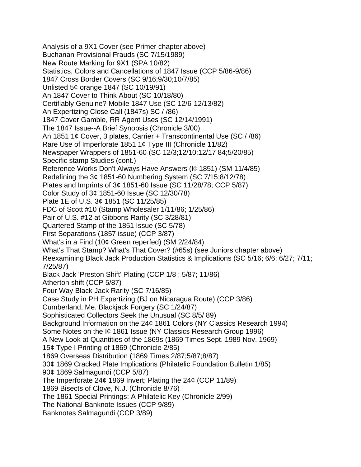Analysis of a 9X1 Cover (see Primer chapter above) Buchanan Provisional Frauds (SC 7/15/1989) New Route Marking for 9X1 (SPA 10/82) Statistics, Colors and Cancellations of 1847 Issue (CCP 5/86-9/86) 1847 Cross Border Covers (SC 9/16;9/30;10/7/85) Unlisted 5¢ orange 1847 (SC 10/19/91) An 1847 Cover to Think About (SC 10/18/80) Certifiably Genuine? Mobile 1847 Use (SC 12/6-12/13/82) An Expertizing Close Call (1847s) SC / /86) 1847 Cover Gamble, RR Agent Uses (SC 12/14/1991) The 1847 Issue--A Brief Synopsis (Chronicle 3/00) An 1851 1¢ Cover, 3 plates, Carrier + Transcontinental Use (SC / /86) Rare Use of Imperforate 1851 1¢ Type III (Chronicle 11/82) Newspaper Wrappers of 1851-60 (SC 12/3;12/10;12/17 84;5/20/85) Specific stamp Studies (cont.) Reference Works Don't Always Have Answers (l¢ 1851) (SM 11/4/85) Redefining the 3¢ 1851-60 Numbering System (SC 7/15;8/12/78) Plates and Imprints of 3¢ 1851-60 Issue (SC 11/28/78; CCP 5/87) Color Study of 3¢ 1851-60 Issue (SC 12/30/78) Plate 1E of U.S. 3¢ 1851 (SC 11/25/85) FDC of Scott #10 (Stamp Wholesaler 1/11/86; 1/25/86) Pair of U.S. #12 at Gibbons Rarity (SC 3/28/81) Quartered Stamp of the 1851 Issue (SC 5/78) First Separations (1857 issue) (CCP 3/87) What's in a Find (10¢ Green reperfed) (SM 2/24/84) What's That Stamp? What's That Cover? (#65s) (see Juniors chapter above) Reexamining Black Jack Production Statistics & Implications (SC 5/16; 6/6; 6/27; 7/11; 7/25/87) Black Jack 'Preston Shift' Plating (CCP 1/8 ; 5/87; 11/86) Atherton shift (CCP 5/87) Four Way Black Jack Rarity (SC 7/16/85) Case Study in PH Expertizing (BJ on Nicaragua Route) (CCP 3/86) Cumberland, Me. Blackjack Forgery (SC 1/24/87) Sophisticated Collectors Seek the Unusual (SC 8/5/ 89) Background Information on the 24¢ 1861 Colors (NY Classics Research 1994) Some Notes on the I¢ 1861 Issue (NY Classics Research Group 1996) A New Look at Quantities of the 1869s (1869 Times Sept. 1989 Nov. 1969) 15¢ Type I Printing of 1869 (Chronicle 2/85) 1869 Overseas Distribution (1869 Times 2/87;5/87;8/87) 30¢ 1869 Cracked Plate Implications (Philatelic Foundation Bulletin 1/85) 90¢ 1869 Salmagundi (CCP 5/87) The Imperforate 24¢ 1869 Invert; Plating the 24¢ (CCP 11/89) 1869 Bisects of Clove, N.J. (Chronicle 8/76) The 1861 Special Printings: A Philatelic Key (Chronicle 2/99) The National Banknote Issues (CCP 9/89) Banknotes Salmagundi (CCP 3/89)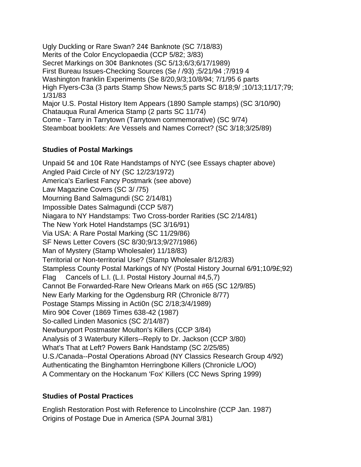Ugly Duckling or Rare Swan? 24¢ Banknote (SC 7/18/83) Merits of the Color Encyclopaedia (CCP 5/82; 3/83) Secret Markings on 30¢ Banknotes (SC 5/13;6/3;6/17/1989) First Bureau Issues-Checking Sources (Se / /93) ;5/21/94 ;7/919 4 Washington franklin Experiments (Se 8/20,9/3;10/8/94; 7/1/95 6 parts High Flyers-C3a (3 parts Stamp Show News;5 parts SC 8/18;9/ ;10/13;11/17;79; 1/31/83 Major U.S. Postal History Item Appears (1890 Sample stamps) (SC 3/10/90) Chatauqua Rural America Stamp (2 parts SC 11/74) Come - Tarry in Tarrytown (Tarrytown commemorative) (SC 9/74) Steamboat booklets: Are Vessels and Names Correct? (SC 3/18;3/25/89)

### **Studies of Postal Markings**

Unpaid 5¢ and 10¢ Rate Handstamps of NYC (see Essays chapter above) Angled Paid Circle of NY (SC 12/23/1972) America's Earliest Fancy Postmark (see above) Law Magazine Covers (SC 3/ /75) Mourning Band Salmagundi (SC 2/14/81) Impossible Dates Salmagundi (CCP 5/87) Niagara to NY Handstamps: Two Cross-border Rarities (SC 2/14/81) The New York Hotel Handstamps (SC 3/16/91) Via USA: A Rare Postal Marking (SC 11/29/86) SF News Letter Covers (SC 8/30;9/13;9/27/1986) Man of Mystery (Stamp Wholesaler) 11/18/83) Territorial or Non-territorial Use? (Stamp Wholesaler 8/12/83) Stampless County Postal Markings of NY (Postal History Journal 6/91;10/9£;92) Flag Cancels of L.I. (L.I. Postal History Journal #4,5,7) Cannot Be Forwarded-Rare New Orleans Mark on #65 (SC 12/9/85) New Early Marking for the Ogdensburg RR (Chronicle 8/77) Postage Stamps Missing in Acti0n (SC 2/18;3/4/1989) Miro 90¢ Cover (1869 Times 638-42 (1987) So-called Linden Masonics (SC 2/14/87) Newburyport Postmaster Moulton's Killers (CCP 3/84) Analysis of 3 Waterbury Killers--Reply to Dr. Jackson (CCP 3/80) What's That at Left? Powers Bank Handstamp (SC 2/25/85) U.S./Canada--Postal Operations Abroad (NY Classics Research Group 4/92) Authenticating the Binghamton Herringbone Killers (Chronicle L/OO) A Commentary on the Hockanum 'Fox' Killers (CC News Spring 1999)

## **Studies of Postal Practices**

English Restoration Post with Reference to Lincolnshire (CCP Jan. 1987) Origins of Postage Due in America (SPA Journal 3/81)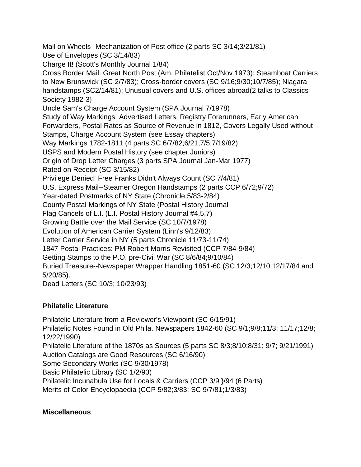Mail on Wheels--Mechanization of Post office (2 parts SC 3/14;3/21/81) Use of Envelopes (SC 3/14/83) Charge It! (Scott's Monthly Journal 1/84)

Cross Border Mail: Great North Post (Am. Philatelist Oct/Nov 1973); Steamboat Carriers to New Brunswick (SC 2/7/83); Cross-border covers (SC 9/16;9/30;10/7/85); Niagara handstamps (SC2/14/81); Unusual covers and U.S. offices abroad(2 talks to Classics Society 1982-3}

Uncle Sam's Charge Account System (SPA Journal 7/1978)

Study of Way Markings: Advertised Letters, Registry Forerunners, Early American Forwarders, Postal Rates as Source of Revenue in 1812, Covers Legally Used without Stamps, Charge Account System (see Essay chapters)

Way Markings 1782-1811 (4 parts SC 6/7/82;6/21;7/5;7/19/82)

USPS and Modern Postal History (see chapter Juniors)

Origin of Drop Letter Charges (3 parts SPA Journal Jan-Mar 1977)

Rated on Receipt (SC 3/15/82)

Privilege Denied! Free Franks Didn't Always Count (SC 7/4/81)

U.S. Express Mail--Steamer Oregon Handstamps (2 parts CCP 6/72;9/72)

Year-dated Postmarks of NY State (Chronicle 5/83-2/84)

County Postal Markings of NY State (Postal History Journal

Flag Cancels of L.I. (L.I. Postal History Journal #4,5,7)

Growing Battle over the Mail Service (SC 10/7/1978)

Evolution of American Carrier System (Linn's 9/12/83)

Letter Carrier Service in NY (5 parts Chronicle 11/73-11/74)

1847 Postal Practices: PM Robert Morris Revisited (CCP 7/84-9/84)

Getting Stamps to the P.O. pre-Civil War (SC 8/6/84;9/10/84)

Buried Treasure--Newspaper Wrapper Handling 1851-60 (SC 12/3;12/10;12/17/84 and 5/20/85).

Dead Letters (SC 10/3; 10/23/93)

# **Philatelic Literature**

Philatelic Literature from a Reviewer's Viewpoint (SC 6/15/91) Philatelic Notes Found in Old Phila. Newspapers 1842-60 (SC 9/1;9/8;11/3; 11/17;12/8; 12/22/1990) Philatelic Literature of the 1870s as Sources (5 parts SC 8/3;8/10;8/31; 9/7; 9/21/1991) Auction Catalogs are Good Resources (SC 6/16/90) Some Secondary Works (SC 9/30/1978) Basic Philatelic Library (SC 1/2/93) Philatelic Incunabula Use for Locals & Carriers (CCP 3/9 }/94 (6 Parts) Merits of Color Encyclopaedia (CCP 5/82;3/83; SC 9/7/81;1/3/83)

## **Miscellaneous**